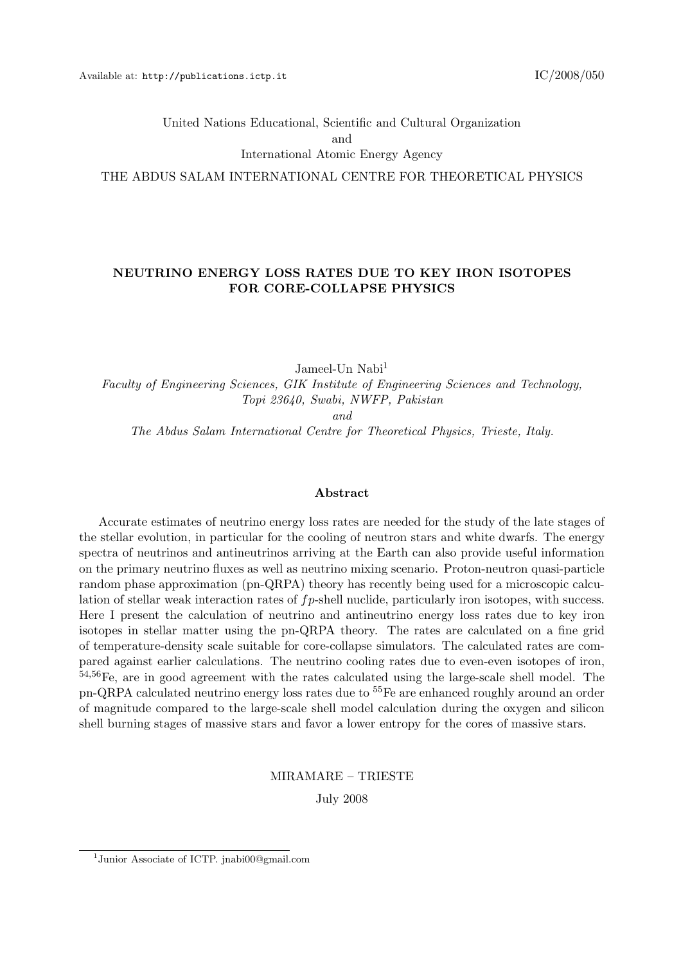United Nations Educational, Scientific and Cultural Organization and

International Atomic Energy Agency

THE ABDUS SALAM INTERNATIONAL CENTRE FOR THEORETICAL PHYSICS

#### NEUTRINO ENERGY LOSS RATES DUE TO KEY IRON ISOTOPES FOR CORE-COLLAPSE PHYSICS

Jameel-Un Nabi<sup>1</sup> Faculty of Engineering Sciences, GIK Institute of Engineering Sciences and Technology, Topi 23640, Swabi, NWFP, Pakistan and

The Abdus Salam International Centre for Theoretical Physics, Trieste, Italy.

#### Abstract

Accurate estimates of neutrino energy loss rates are needed for the study of the late stages of the stellar evolution, in particular for the cooling of neutron stars and white dwarfs. The energy spectra of neutrinos and antineutrinos arriving at the Earth can also provide useful information on the primary neutrino fluxes as well as neutrino mixing scenario. Proton-neutron quasi-particle random phase approximation (pn-QRPA) theory has recently being used for a microscopic calculation of stellar weak interaction rates of  $fp$ -shell nuclide, particularly iron isotopes, with success. Here I present the calculation of neutrino and antineutrino energy loss rates due to key iron isotopes in stellar matter using the pn-QRPA theory. The rates are calculated on a fine grid of temperature-density scale suitable for core-collapse simulators. The calculated rates are compared against earlier calculations. The neutrino cooling rates due to even-even isotopes of iron, <sup>54</sup>,56Fe, are in good agreement with the rates calculated using the large-scale shell model. The pn-QRPA calculated neutrino energy loss rates due to <sup>55</sup>Fe are enhanced roughly around an order of magnitude compared to the large-scale shell model calculation during the oxygen and silicon shell burning stages of massive stars and favor a lower entropy for the cores of massive stars.

MIRAMARE – TRIESTE

July 2008

<sup>1</sup> Junior Associate of ICTP. jnabi00@gmail.com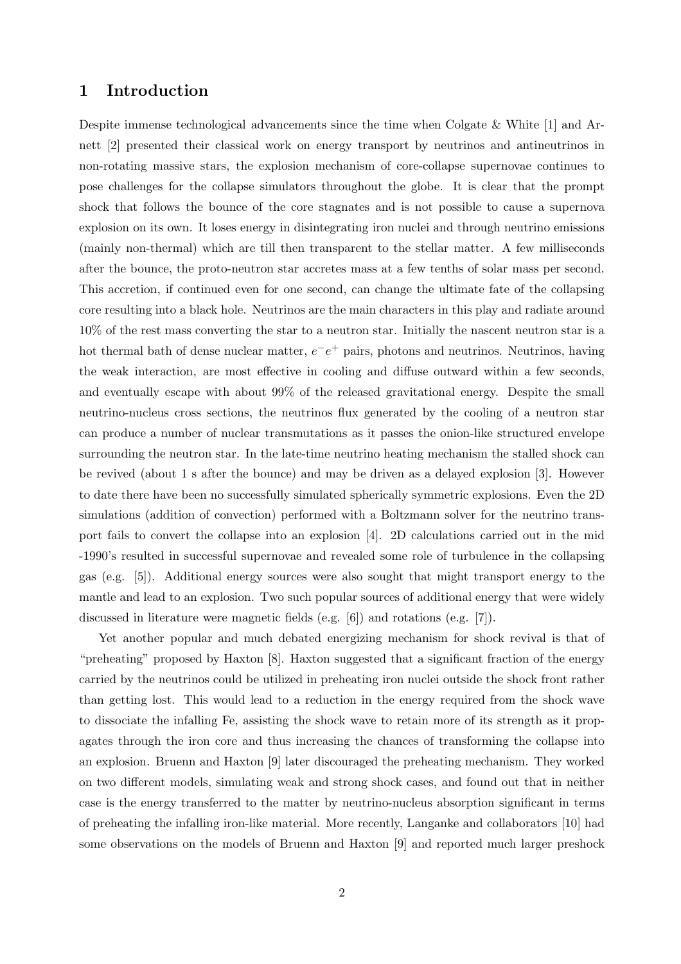## 1 Introduction

Despite immense technological advancements since the time when Colgate & White [1] and Arnett [2] presented their classical work on energy transport by neutrinos and antineutrinos in non-rotating massive stars, the explosion mechanism of core-collapse supernovae continues to pose challenges for the collapse simulators throughout the globe. It is clear that the prompt shock that follows the bounce of the core stagnates and is not possible to cause a supernova explosion on its own. It loses energy in disintegrating iron nuclei and through neutrino emissions (mainly non-thermal) which are till then transparent to the stellar matter. A few milliseconds after the bounce, the proto-neutron star accretes mass at a few tenths of solar mass per second. This accretion, if continued even for one second, can change the ultimate fate of the collapsing core resulting into a black hole. Neutrinos are the main characters in this play and radiate around 10% of the rest mass converting the star to a neutron star. Initially the nascent neutron star is a hot thermal bath of dense nuclear matter,  $e^-e^+$  pairs, photons and neutrinos. Neutrinos, having the weak interaction, are most effective in cooling and diffuse outward within a few seconds, and eventually escape with about 99% of the released gravitational energy. Despite the small neutrino-nucleus cross sections, the neutrinos flux generated by the cooling of a neutron star can produce a number of nuclear transmutations as it passes the onion-like structured envelope surrounding the neutron star. In the late-time neutrino heating mechanism the stalled shock can be revived (about 1 s after the bounce) and may be driven as a delayed explosion [3]. However to date there have been no successfully simulated spherically symmetric explosions. Even the 2D simulations (addition of convection) performed with a Boltzmann solver for the neutrino transport fails to convert the collapse into an explosion [4]. 2D calculations carried out in the mid -1990's resulted in successful supernovae and revealed some role of turbulence in the collapsing gas (e.g. [5]). Additional energy sources were also sought that might transport energy to the mantle and lead to an explosion. Two such popular sources of additional energy that were widely discussed in literature were magnetic fields (e.g. [6]) and rotations (e.g. [7]).

Yet another popular and much debated energizing mechanism for shock revival is that of "preheating" proposed by Haxton [8]. Haxton suggested that a significant fraction of the energy carried by the neutrinos could be utilized in preheating iron nuclei outside the shock front rather than getting lost. This would lead to a reduction in the energy required from the shock wave to dissociate the infalling Fe, assisting the shock wave to retain more of its strength as it propagates through the iron core and thus increasing the chances of transforming the collapse into an explosion. Bruenn and Haxton [9] later discouraged the preheating mechanism. They worked on two different models, simulating weak and strong shock cases, and found out that in neither case is the energy transferred to the matter by neutrino-nucleus absorption significant in terms of preheating the infalling iron-like material. More recently, Langanke and collaborators [10] had some observations on the models of Bruenn and Haxton [9] and reported much larger preshock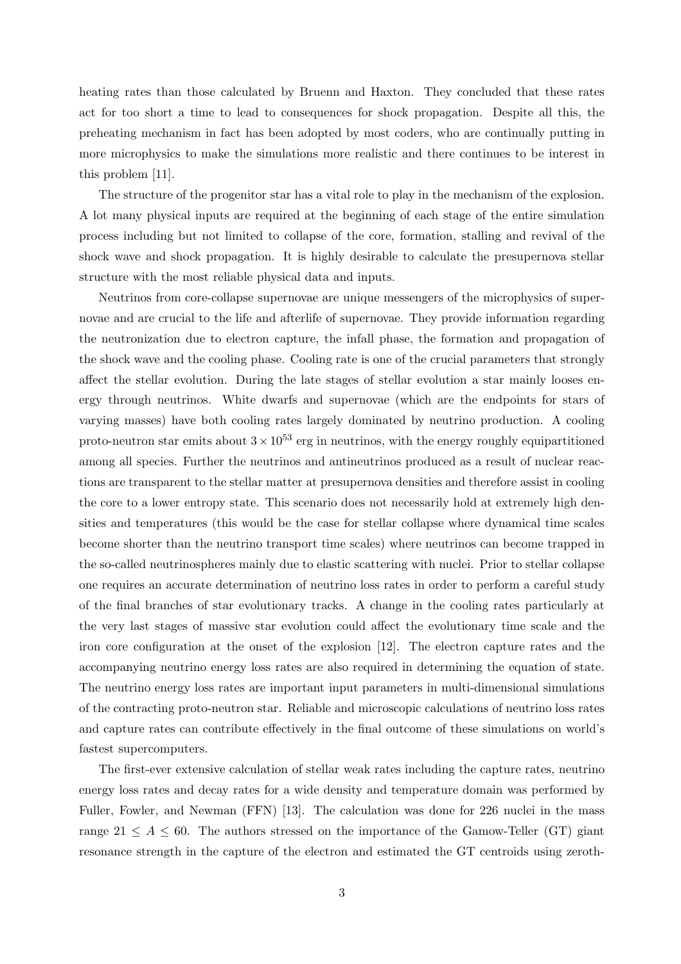heating rates than those calculated by Bruenn and Haxton. They concluded that these rates act for too short a time to lead to consequences for shock propagation. Despite all this, the preheating mechanism in fact has been adopted by most coders, who are continually putting in more microphysics to make the simulations more realistic and there continues to be interest in this problem [11].

The structure of the progenitor star has a vital role to play in the mechanism of the explosion. A lot many physical inputs are required at the beginning of each stage of the entire simulation process including but not limited to collapse of the core, formation, stalling and revival of the shock wave and shock propagation. It is highly desirable to calculate the presupernova stellar structure with the most reliable physical data and inputs.

Neutrinos from core-collapse supernovae are unique messengers of the microphysics of supernovae and are crucial to the life and afterlife of supernovae. They provide information regarding the neutronization due to electron capture, the infall phase, the formation and propagation of the shock wave and the cooling phase. Cooling rate is one of the crucial parameters that strongly affect the stellar evolution. During the late stages of stellar evolution a star mainly looses energy through neutrinos. White dwarfs and supernovae (which are the endpoints for stars of varying masses) have both cooling rates largely dominated by neutrino production. A cooling proto-neutron star emits about  $3 \times 10^{53}$  erg in neutrinos, with the energy roughly equipartitioned among all species. Further the neutrinos and antineutrinos produced as a result of nuclear reactions are transparent to the stellar matter at presupernova densities and therefore assist in cooling the core to a lower entropy state. This scenario does not necessarily hold at extremely high densities and temperatures (this would be the case for stellar collapse where dynamical time scales become shorter than the neutrino transport time scales) where neutrinos can become trapped in the so-called neutrinospheres mainly due to elastic scattering with nuclei. Prior to stellar collapse one requires an accurate determination of neutrino loss rates in order to perform a careful study of the final branches of star evolutionary tracks. A change in the cooling rates particularly at the very last stages of massive star evolution could affect the evolutionary time scale and the iron core configuration at the onset of the explosion [12]. The electron capture rates and the accompanying neutrino energy loss rates are also required in determining the equation of state. The neutrino energy loss rates are important input parameters in multi-dimensional simulations of the contracting proto-neutron star. Reliable and microscopic calculations of neutrino loss rates and capture rates can contribute effectively in the final outcome of these simulations on world's fastest supercomputers.

The first-ever extensive calculation of stellar weak rates including the capture rates, neutrino energy loss rates and decay rates for a wide density and temperature domain was performed by Fuller, Fowler, and Newman (FFN) [13]. The calculation was done for 226 nuclei in the mass range  $21 \leq A \leq 60$ . The authors stressed on the importance of the Gamow-Teller (GT) giant resonance strength in the capture of the electron and estimated the GT centroids using zeroth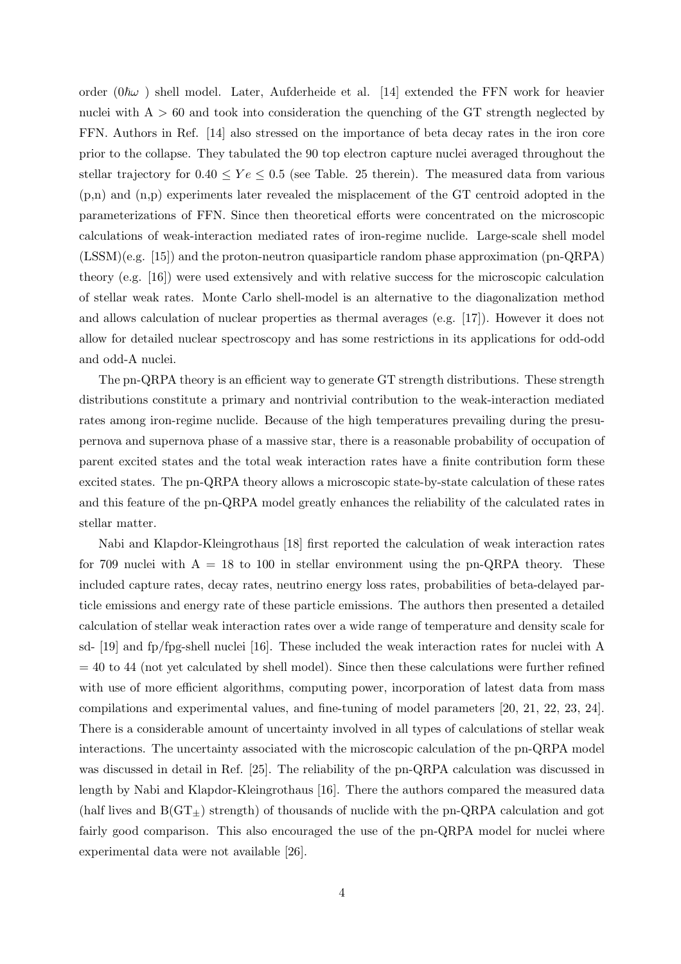order  $(0\hbar\omega)$  shell model. Later, Aufderheide et al. [14] extended the FFN work for heavier nuclei with  $A > 60$  and took into consideration the quenching of the GT strength neglected by FFN. Authors in Ref. [14] also stressed on the importance of beta decay rates in the iron core prior to the collapse. They tabulated the 90 top electron capture nuclei averaged throughout the stellar trajectory for  $0.40 \leq Y \leq 0.5$  (see Table. 25 therein). The measured data from various (p,n) and (n,p) experiments later revealed the misplacement of the GT centroid adopted in the parameterizations of FFN. Since then theoretical efforts were concentrated on the microscopic calculations of weak-interaction mediated rates of iron-regime nuclide. Large-scale shell model (LSSM)(e.g. [15]) and the proton-neutron quasiparticle random phase approximation (pn-QRPA) theory (e.g. [16]) were used extensively and with relative success for the microscopic calculation of stellar weak rates. Monte Carlo shell-model is an alternative to the diagonalization method and allows calculation of nuclear properties as thermal averages (e.g. [17]). However it does not allow for detailed nuclear spectroscopy and has some restrictions in its applications for odd-odd and odd-A nuclei.

The pn-QRPA theory is an efficient way to generate GT strength distributions. These strength distributions constitute a primary and nontrivial contribution to the weak-interaction mediated rates among iron-regime nuclide. Because of the high temperatures prevailing during the presupernova and supernova phase of a massive star, there is a reasonable probability of occupation of parent excited states and the total weak interaction rates have a finite contribution form these excited states. The pn-QRPA theory allows a microscopic state-by-state calculation of these rates and this feature of the pn-QRPA model greatly enhances the reliability of the calculated rates in stellar matter.

Nabi and Klapdor-Kleingrothaus [18] first reported the calculation of weak interaction rates for 709 nuclei with  $A = 18$  to 100 in stellar environment using the pn-QRPA theory. These included capture rates, decay rates, neutrino energy loss rates, probabilities of beta-delayed particle emissions and energy rate of these particle emissions. The authors then presented a detailed calculation of stellar weak interaction rates over a wide range of temperature and density scale for sd- [19] and fp/fpg-shell nuclei [16]. These included the weak interaction rates for nuclei with A  $= 40$  to 44 (not yet calculated by shell model). Since then these calculations were further refined with use of more efficient algorithms, computing power, incorporation of latest data from mass compilations and experimental values, and fine-tuning of model parameters [20, 21, 22, 23, 24]. There is a considerable amount of uncertainty involved in all types of calculations of stellar weak interactions. The uncertainty associated with the microscopic calculation of the pn-QRPA model was discussed in detail in Ref. [25]. The reliability of the pn-QRPA calculation was discussed in length by Nabi and Klapdor-Kleingrothaus [16]. There the authors compared the measured data (half lives and  $B(GT<sub>+</sub>)$  strength) of thousands of nuclide with the pn-QRPA calculation and got fairly good comparison. This also encouraged the use of the pn-QRPA model for nuclei where experimental data were not available [26].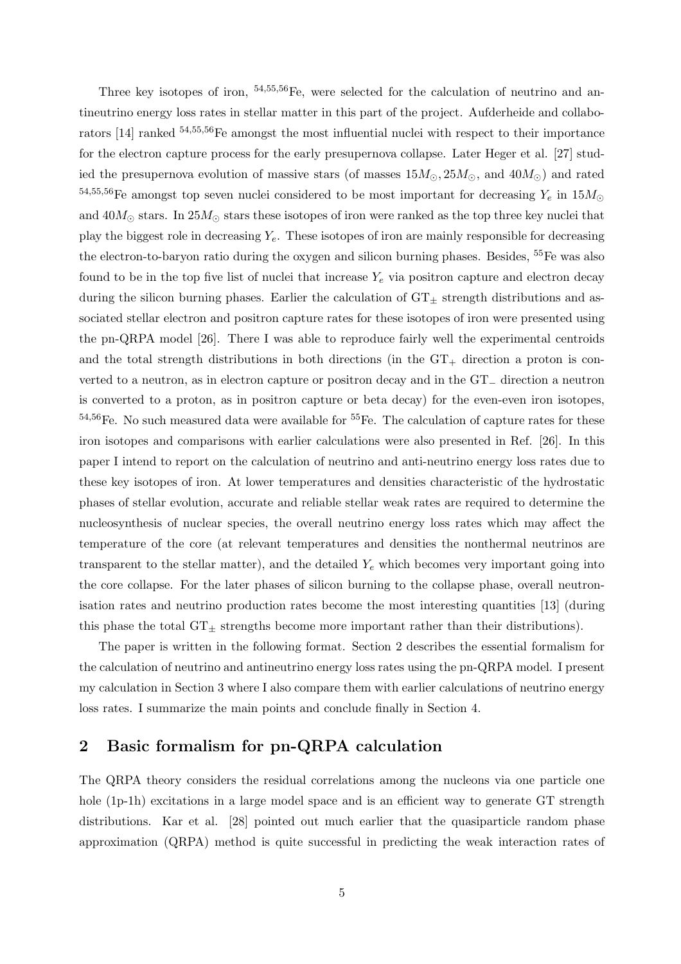Three key isotopes of iron,  $54,55,56$  Fe, were selected for the calculation of neutrino and antineutrino energy loss rates in stellar matter in this part of the project. Aufderheide and collaborators [14] ranked  $54,55,56$ Fe amongst the most influential nuclei with respect to their importance for the electron capture process for the early presupernova collapse. Later Heger et al. [27] studied the presupernova evolution of massive stars (of masses  $15M_{\odot}, 25M_{\odot}$ , and  $40M_{\odot}$ ) and rated 54,55,56Fe amongst top seven nuclei considered to be most important for decreasing  $Y_e$  in  $15M_{\odot}$ and  $40M_\odot$  stars. In  $25M_\odot$  stars these isotopes of iron were ranked as the top three key nuclei that play the biggest role in decreasing  $Y_e$ . These isotopes of iron are mainly responsible for decreasing the electron-to-baryon ratio during the oxygen and silicon burning phases. Besides, <sup>55</sup>Fe was also found to be in the top five list of nuclei that increase  $Y_e$  via positron capture and electron decay during the silicon burning phases. Earlier the calculation of  $GT_{\pm}$  strength distributions and associated stellar electron and positron capture rates for these isotopes of iron were presented using the pn-QRPA model [26]. There I was able to reproduce fairly well the experimental centroids and the total strength distributions in both directions (in the  $GT_+$  direction a proton is converted to a neutron, as in electron capture or positron decay and in the GT<sup>−</sup> direction a neutron is converted to a proton, as in positron capture or beta decay) for the even-even iron isotopes,  $54,56$ Fe. No such measured data were available for  $55$ Fe. The calculation of capture rates for these iron isotopes and comparisons with earlier calculations were also presented in Ref. [26]. In this paper I intend to report on the calculation of neutrino and anti-neutrino energy loss rates due to these key isotopes of iron. At lower temperatures and densities characteristic of the hydrostatic phases of stellar evolution, accurate and reliable stellar weak rates are required to determine the nucleosynthesis of nuclear species, the overall neutrino energy loss rates which may affect the temperature of the core (at relevant temperatures and densities the nonthermal neutrinos are transparent to the stellar matter), and the detailed  $Y_e$  which becomes very important going into the core collapse. For the later phases of silicon burning to the collapse phase, overall neutronisation rates and neutrino production rates become the most interesting quantities [13] (during this phase the total  $GT_{\pm}$  strengths become more important rather than their distributions).

The paper is written in the following format. Section 2 describes the essential formalism for the calculation of neutrino and antineutrino energy loss rates using the pn-QRPA model. I present my calculation in Section 3 where I also compare them with earlier calculations of neutrino energy loss rates. I summarize the main points and conclude finally in Section 4.

### 2 Basic formalism for pn-QRPA calculation

The QRPA theory considers the residual correlations among the nucleons via one particle one hole (1p-1h) excitations in a large model space and is an efficient way to generate GT strength distributions. Kar et al. [28] pointed out much earlier that the quasiparticle random phase approximation (QRPA) method is quite successful in predicting the weak interaction rates of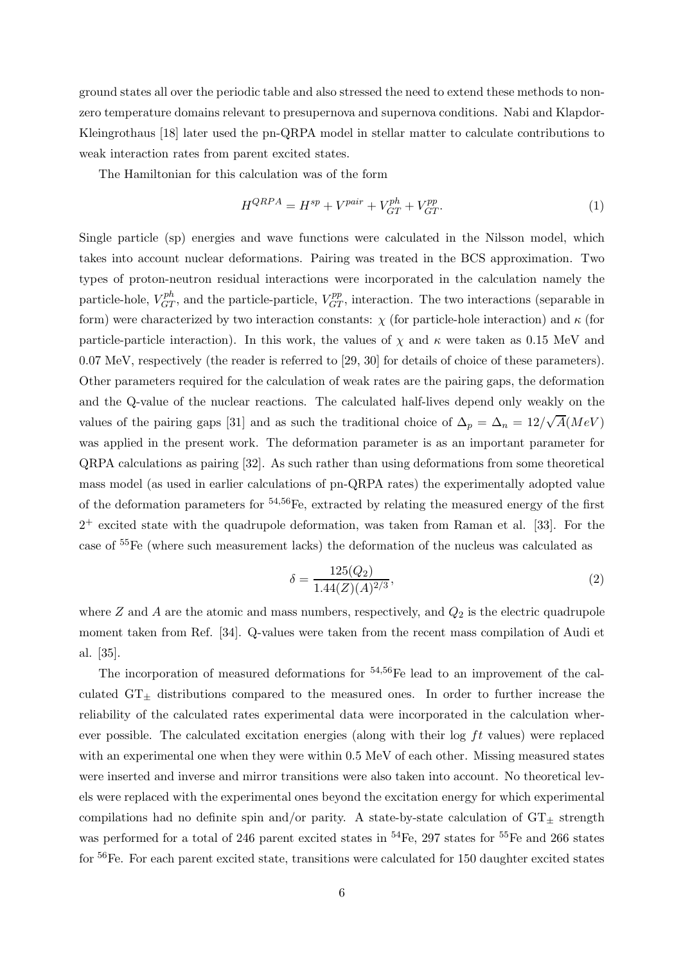ground states all over the periodic table and also stressed the need to extend these methods to nonzero temperature domains relevant to presupernova and supernova conditions. Nabi and Klapdor-Kleingrothaus [18] later used the pn-QRPA model in stellar matter to calculate contributions to weak interaction rates from parent excited states.

The Hamiltonian for this calculation was of the form

$$
H^{QRPA} = H^{sp} + V^{pair} + V^{ph}_{GT} + V^{pp}_{GT}.
$$
\n
$$
(1)
$$

Single particle (sp) energies and wave functions were calculated in the Nilsson model, which takes into account nuclear deformations. Pairing was treated in the BCS approximation. Two types of proton-neutron residual interactions were incorporated in the calculation namely the particle-hole,  $V_{GT}^{ph}$ , and the particle-particle,  $V_{GT}^{pp}$ , interaction. The two interactions (separable in form) were characterized by two interaction constants:  $\chi$  (for particle-hole interaction) and  $\kappa$  (for particle-particle interaction). In this work, the values of  $\chi$  and  $\kappa$  were taken as 0.15 MeV and 0.07 MeV, respectively (the reader is referred to [29, 30] for details of choice of these parameters). Other parameters required for the calculation of weak rates are the pairing gaps, the deformation and the Q-value of the nuclear reactions. The calculated half-lives depend only weakly on the values of the pairing gaps [31] and as such the traditional choice of  $\Delta_p = \Delta_n = 12/\sqrt{A}(MeV)$ was applied in the present work. The deformation parameter is as an important parameter for QRPA calculations as pairing [32]. As such rather than using deformations from some theoretical mass model (as used in earlier calculations of pn-QRPA rates) the experimentally adopted value of the deformation parameters for  $54,56$  Fe, extracted by relating the measured energy of the first 2 <sup>+</sup> excited state with the quadrupole deformation, was taken from Raman et al. [33]. For the case of <sup>55</sup>Fe (where such measurement lacks) the deformation of the nucleus was calculated as

$$
\delta = \frac{125(Q_2)}{1.44(Z)(A)^{2/3}},\tag{2}
$$

where  $Z$  and  $A$  are the atomic and mass numbers, respectively, and  $Q_2$  is the electric quadrupole moment taken from Ref. [34]. Q-values were taken from the recent mass compilation of Audi et al. [35].

The incorporation of measured deformations for  $54,56$ Fe lead to an improvement of the calculated  $GT_{+}$  distributions compared to the measured ones. In order to further increase the reliability of the calculated rates experimental data were incorporated in the calculation wherever possible. The calculated excitation energies (along with their log  $ft$  values) were replaced with an experimental one when they were within 0.5 MeV of each other. Missing measured states were inserted and inverse and mirror transitions were also taken into account. No theoretical levels were replaced with the experimental ones beyond the excitation energy for which experimental compilations had no definite spin and/or parity. A state-by-state calculation of  $GT_{\pm}$  strength was performed for a total of 246 parent excited states in  $^{54}Fe$ , 297 states for  $^{55}Fe$  and 266 states for <sup>56</sup>Fe. For each parent excited state, transitions were calculated for 150 daughter excited states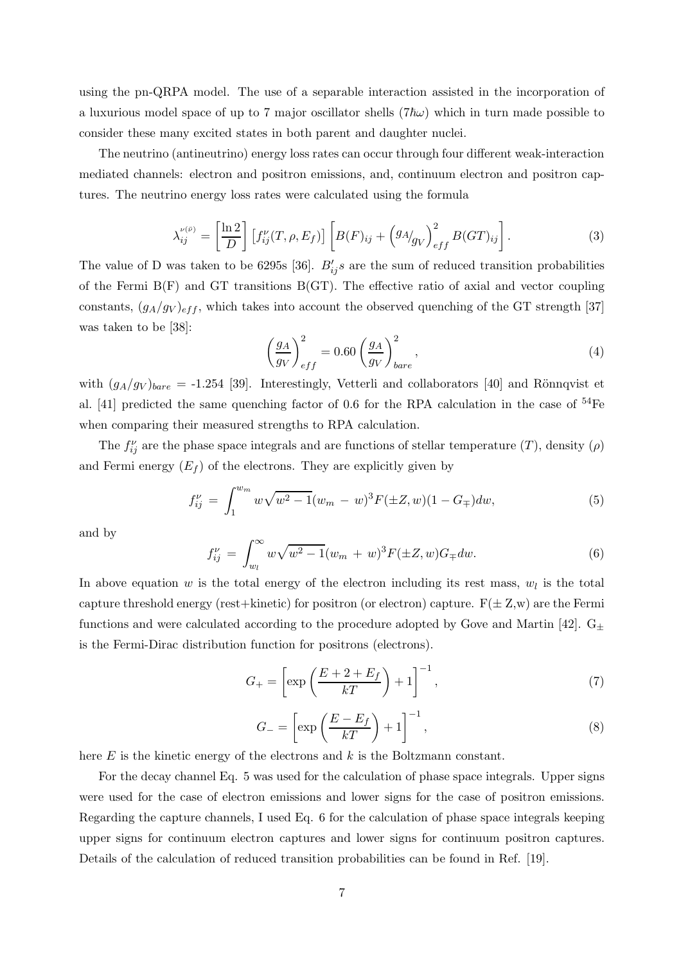using the pn-QRPA model. The use of a separable interaction assisted in the incorporation of a luxurious model space of up to 7 major oscillator shells ( $7\hbar\omega$ ) which in turn made possible to consider these many excited states in both parent and daughter nuclei.

The neutrino (antineutrino) energy loss rates can occur through four different weak-interaction mediated channels: electron and positron emissions, and, continuum electron and positron captures. The neutrino energy loss rates were calculated using the formula

$$
\lambda_{ij}^{\nu(\bar{\nu})} = \left[\frac{\ln 2}{D}\right] \left[f_{ij}^{\nu}(T,\rho,E_f)\right] \left[B(F)_{ij} + \left(g_A/g_V\right)_{eff}^2 B(GT)_{ij}\right].\tag{3}
$$

The value of D was taken to be 6295s [36].  $B'_{ij}s$  are the sum of reduced transition probabilities of the Fermi B(F) and GT transitions B(GT). The effective ratio of axial and vector coupling constants,  $(g_A/g_V)_{eff}$ , which takes into account the observed quenching of the GT strength [37] was taken to be [38]:

$$
\left(\frac{g_A}{g_V}\right)_{eff}^2 = 0.60 \left(\frac{g_A}{g_V}\right)_{bare}^2,
$$
\n(4)

with  $(g_A/g_V)_{bare} = -1.254$  [39]. Interestingly, Vetterli and collaborators [40] and Rönnqvist et al. [41] predicted the same quenching factor of 0.6 for the RPA calculation in the case of  $54Fe$ when comparing their measured strengths to RPA calculation.

The  $f_{ij}^{\nu}$  are the phase space integrals and are functions of stellar temperature  $(T)$ , density  $(\rho)$ and Fermi energy  $(E_f)$  of the electrons. They are explicitly given by

$$
f_{ij}^{\nu} = \int_{1}^{w_m} w \sqrt{w^2 - 1} (w_m - w)^3 F(\pm Z, w)(1 - G_{\mp}) dw, \tag{5}
$$

and by

$$
f_{ij}^{\nu} = \int_{w_l}^{\infty} w \sqrt{w^2 - 1} (w_m + w)^3 F(\pm Z, w) G_{\mp} dw.
$$
 (6)

In above equation  $w$  is the total energy of the electron including its rest mass,  $w_l$  is the total capture threshold energy (rest+kinetic) for positron (or electron) capture.  $F(\pm Z,w)$  are the Fermi functions and were calculated according to the procedure adopted by Gove and Martin [42].  $G_{\pm}$ is the Fermi-Dirac distribution function for positrons (electrons).

$$
G_{+} = \left[ \exp\left(\frac{E + 2 + E_f}{kT}\right) + 1 \right]^{-1},\tag{7}
$$

$$
G_{-} = \left[ \exp\left(\frac{E - E_f}{kT}\right) + 1 \right]^{-1},\tag{8}
$$

here  $E$  is the kinetic energy of the electrons and  $k$  is the Boltzmann constant.

For the decay channel Eq. 5 was used for the calculation of phase space integrals. Upper signs were used for the case of electron emissions and lower signs for the case of positron emissions. Regarding the capture channels, I used Eq. 6 for the calculation of phase space integrals keeping upper signs for continuum electron captures and lower signs for continuum positron captures. Details of the calculation of reduced transition probabilities can be found in Ref. [19].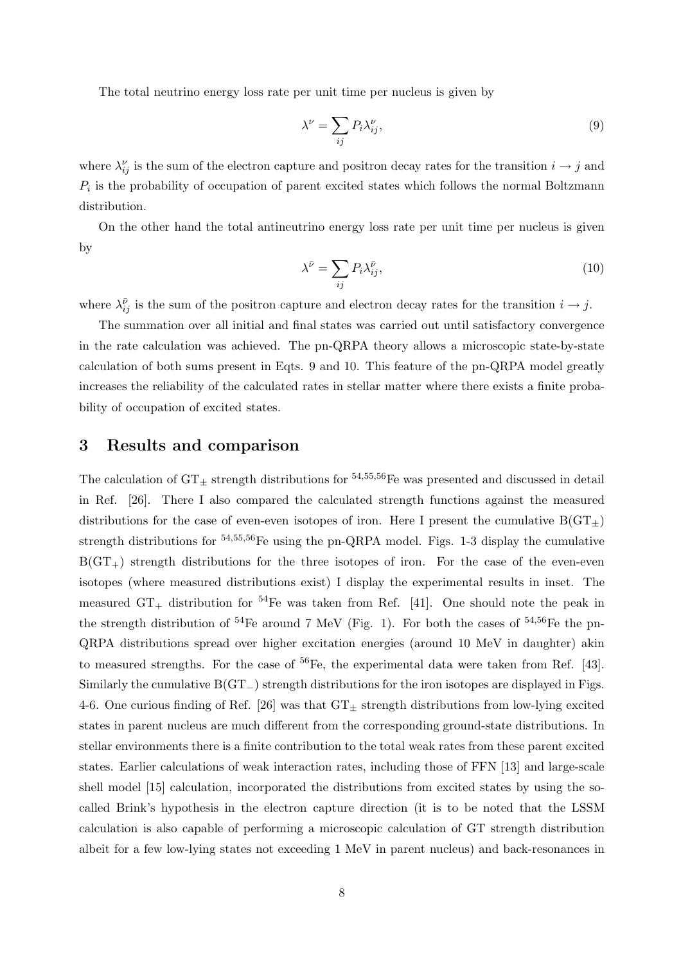The total neutrino energy loss rate per unit time per nucleus is given by

$$
\lambda^{\nu} = \sum_{ij} P_i \lambda_{ij}^{\nu},\tag{9}
$$

where  $\lambda_{ij}^{\nu}$  is the sum of the electron capture and positron decay rates for the transition  $i \to j$  and  $P_i$  is the probability of occupation of parent excited states which follows the normal Boltzmann distribution.

On the other hand the total antineutrino energy loss rate per unit time per nucleus is given by

$$
\lambda^{\bar{\nu}} = \sum_{ij} P_i \lambda_{ij}^{\bar{\nu}},\tag{10}
$$

where  $\lambda_{ij}^{\bar{\nu}}$  is the sum of the positron capture and electron decay rates for the transition  $i \to j$ .

The summation over all initial and final states was carried out until satisfactory convergence in the rate calculation was achieved. The pn-QRPA theory allows a microscopic state-by-state calculation of both sums present in Eqts. 9 and 10. This feature of the pn-QRPA model greatly increases the reliability of the calculated rates in stellar matter where there exists a finite probability of occupation of excited states.

#### 3 Results and comparison

The calculation of  $GT_{\pm}$  strength distributions for <sup>54,55,56</sup>Fe was presented and discussed in detail in Ref. [26]. There I also compared the calculated strength functions against the measured distributions for the case of even-even isotopes of iron. Here I present the cumulative  $B(GT<sub>+</sub>)$ strength distributions for <sup>54,55,56</sup>Fe using the pn-QRPA model. Figs. 1-3 display the cumulative  $B(GT<sub>+</sub>)$  strength distributions for the three isotopes of iron. For the case of the even-even isotopes (where measured distributions exist) I display the experimental results in inset. The measured  $GT_+$  distribution for <sup>54</sup>Fe was taken from Ref. [41]. One should note the peak in the strength distribution of  $^{54}$ Fe around 7 MeV (Fig. 1). For both the cases of  $^{54,56}$ Fe the pn-QRPA distributions spread over higher excitation energies (around 10 MeV in daughter) akin to measured strengths. For the case of  ${}^{56}Fe$ , the experimental data were taken from Ref. [43]. Similarly the cumulative B(GT−) strength distributions for the iron isotopes are displayed in Figs. 4-6. One curious finding of Ref. [26] was that  $GT_{\pm}$  strength distributions from low-lying excited states in parent nucleus are much different from the corresponding ground-state distributions. In stellar environments there is a finite contribution to the total weak rates from these parent excited states. Earlier calculations of weak interaction rates, including those of FFN [13] and large-scale shell model [15] calculation, incorporated the distributions from excited states by using the socalled Brink's hypothesis in the electron capture direction (it is to be noted that the LSSM calculation is also capable of performing a microscopic calculation of GT strength distribution albeit for a few low-lying states not exceeding 1 MeV in parent nucleus) and back-resonances in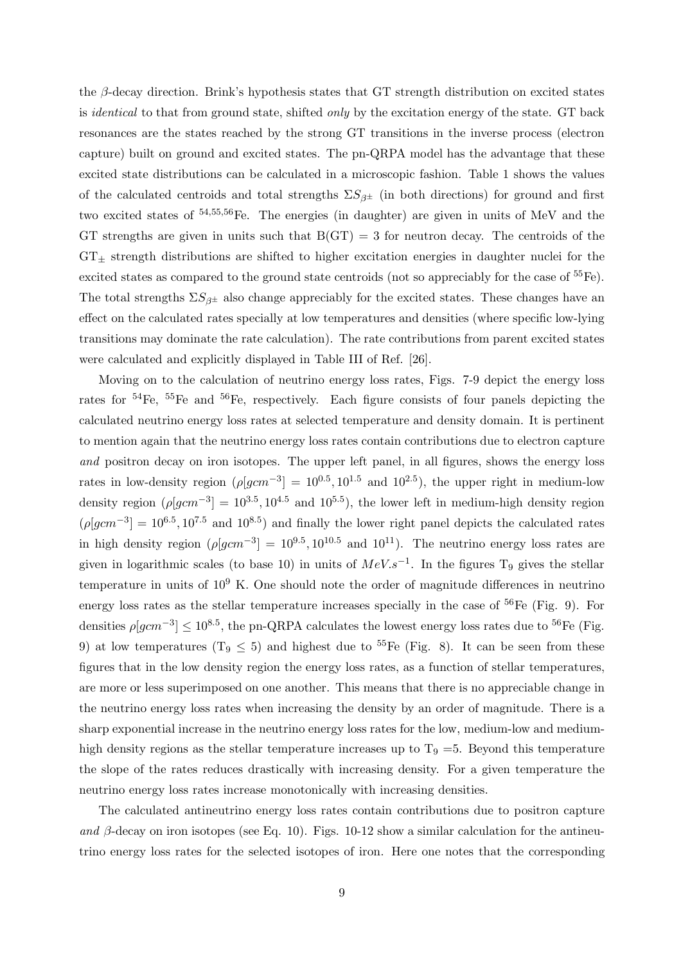the β-decay direction. Brink's hypothesis states that GT strength distribution on excited states is *identical* to that from ground state, shifted *only* by the excitation energy of the state. GT back resonances are the states reached by the strong GT transitions in the inverse process (electron capture) built on ground and excited states. The pn-QRPA model has the advantage that these excited state distributions can be calculated in a microscopic fashion. Table 1 shows the values of the calculated centroids and total strengths  $\Sigma S_{\beta^{\pm}}$  (in both directions) for ground and first two excited states of <sup>54</sup>,55,56Fe. The energies (in daughter) are given in units of MeV and the GT strengths are given in units such that  $B(GT) = 3$  for neutron decay. The centroids of the  $GT_{\pm}$  strength distributions are shifted to higher excitation energies in daughter nuclei for the excited states as compared to the ground state centroids (not so appreciably for the case of <sup>55</sup>Fe). The total strengths  $\Sigma S_{\beta^{\pm}}$  also change appreciably for the excited states. These changes have an effect on the calculated rates specially at low temperatures and densities (where specific low-lying transitions may dominate the rate calculation). The rate contributions from parent excited states were calculated and explicitly displayed in Table III of Ref. [26].

Moving on to the calculation of neutrino energy loss rates, Figs. 7-9 depict the energy loss rates for  $54\text{Fe}$ ,  $55\text{Fe}$  and  $56\text{Fe}$ , respectively. Each figure consists of four panels depicting the calculated neutrino energy loss rates at selected temperature and density domain. It is pertinent to mention again that the neutrino energy loss rates contain contributions due to electron capture and positron decay on iron isotopes. The upper left panel, in all figures, shows the energy loss rates in low-density region  $(\rho [gcm^{-3}] = 10^{0.5}, 10^{1.5}$  and  $10^{2.5})$ , the upper right in medium-low density region  $(\rho [gcm^{-3}] = 10^{3.5}, 10^{4.5} \text{ and } 10^{5.5})$ , the lower left in medium-high density region  $(\rho[gcm^{-3}] = 10^{6.5}, 10^{7.5}$  and  $10^{8.5})$  and finally the lower right panel depicts the calculated rates in high density region  $(\rho[gcm^{-3}] = 10^{9.5}, 10^{10.5}$  and  $10^{11})$ . The neutrino energy loss rates are given in logarithmic scales (to base 10) in units of  $MeV.s^{-1}$ . In the figures T<sub>9</sub> gives the stellar temperature in units of  $10^9$  K. One should note the order of magnitude differences in neutrino energy loss rates as the stellar temperature increases specially in the case of  ${}^{56}Fe$  (Fig. 9). For densities  $\rho[gcm^{-3}] \leq 10^{8.5}$ , the pn-QRPA calculates the lowest energy loss rates due to <sup>56</sup>Fe (Fig. 9) at low temperatures (T<sub>9</sub>  $\leq$  5) and highest due to <sup>55</sup>Fe (Fig. 8). It can be seen from these figures that in the low density region the energy loss rates, as a function of stellar temperatures, are more or less superimposed on one another. This means that there is no appreciable change in the neutrino energy loss rates when increasing the density by an order of magnitude. There is a sharp exponential increase in the neutrino energy loss rates for the low, medium-low and mediumhigh density regions as the stellar temperature increases up to  $T_9 = 5$ . Beyond this temperature the slope of the rates reduces drastically with increasing density. For a given temperature the neutrino energy loss rates increase monotonically with increasing densities.

The calculated antineutrino energy loss rates contain contributions due to positron capture and  $\beta$ -decay on iron isotopes (see Eq. 10). Figs. 10-12 show a similar calculation for the antineutrino energy loss rates for the selected isotopes of iron. Here one notes that the corresponding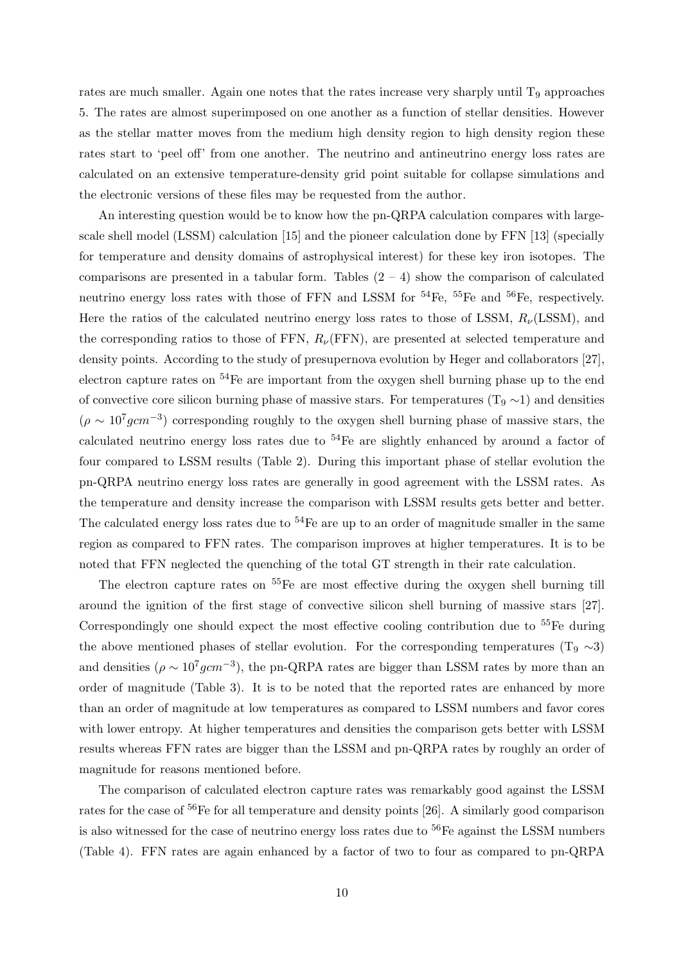rates are much smaller. Again one notes that the rates increase very sharply until  $T<sub>9</sub>$  approaches 5. The rates are almost superimposed on one another as a function of stellar densities. However as the stellar matter moves from the medium high density region to high density region these rates start to 'peel off' from one another. The neutrino and antineutrino energy loss rates are calculated on an extensive temperature-density grid point suitable for collapse simulations and the electronic versions of these files may be requested from the author.

An interesting question would be to know how the pn-QRPA calculation compares with largescale shell model (LSSM) calculation [15] and the pioneer calculation done by FFN [13] (specially for temperature and density domains of astrophysical interest) for these key iron isotopes. The comparisons are presented in a tabular form. Tables  $(2 - 4)$  show the comparison of calculated neutrino energy loss rates with those of FFN and LSSM for  $^{54}Fe$ ,  $^{55}Fe$  and  $^{56}Fe$ , respectively. Here the ratios of the calculated neutrino energy loss rates to those of LSSM,  $R_{\nu}(\text{LSSM})$ , and the corresponding ratios to those of FFN,  $R_{\nu}$ (FFN), are presented at selected temperature and density points. According to the study of presupernova evolution by Heger and collaborators [27], electron capture rates on  $54$ Fe are important from the oxygen shell burning phase up to the end of convective core silicon burning phase of massive stars. For temperatures (T<sub>9</sub>  $\sim$ 1) and densities  $(\rho \sim 10^7 g cm^{-3})$  corresponding roughly to the oxygen shell burning phase of massive stars, the calculated neutrino energy loss rates due to <sup>54</sup>Fe are slightly enhanced by around a factor of four compared to LSSM results (Table 2). During this important phase of stellar evolution the pn-QRPA neutrino energy loss rates are generally in good agreement with the LSSM rates. As the temperature and density increase the comparison with LSSM results gets better and better. The calculated energy loss rates due to  $54$ Fe are up to an order of magnitude smaller in the same region as compared to FFN rates. The comparison improves at higher temperatures. It is to be noted that FFN neglected the quenching of the total GT strength in their rate calculation.

The electron capture rates on  $^{55}$ Fe are most effective during the oxygen shell burning till around the ignition of the first stage of convective silicon shell burning of massive stars [27]. Correspondingly one should expect the most effective cooling contribution due to  $^{55}Fe$  during the above mentioned phases of stellar evolution. For the corresponding temperatures (T<sub>9</sub>  $\sim$ 3) and densities ( $\rho \sim 10^7 g cm^{-3}$ ), the pn-QRPA rates are bigger than LSSM rates by more than an order of magnitude (Table 3). It is to be noted that the reported rates are enhanced by more than an order of magnitude at low temperatures as compared to LSSM numbers and favor cores with lower entropy. At higher temperatures and densities the comparison gets better with LSSM results whereas FFN rates are bigger than the LSSM and pn-QRPA rates by roughly an order of magnitude for reasons mentioned before.

The comparison of calculated electron capture rates was remarkably good against the LSSM rates for the case of <sup>56</sup>Fe for all temperature and density points [26]. A similarly good comparison is also witnessed for the case of neutrino energy loss rates due to  ${}^{56}Fe$  against the LSSM numbers (Table 4). FFN rates are again enhanced by a factor of two to four as compared to pn-QRPA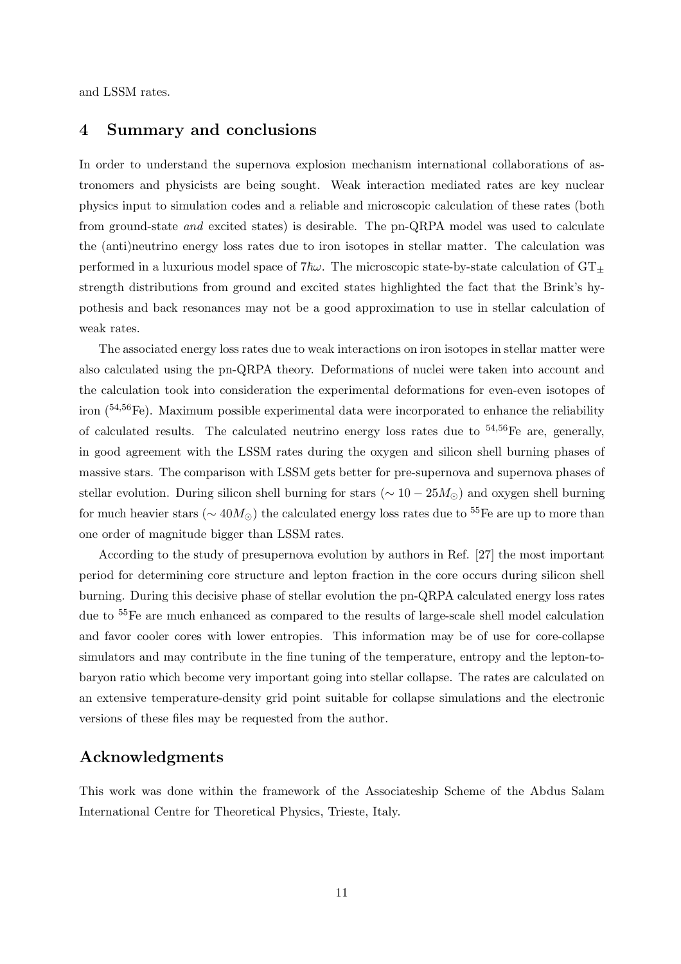and LSSM rates.

### 4 Summary and conclusions

In order to understand the supernova explosion mechanism international collaborations of astronomers and physicists are being sought. Weak interaction mediated rates are key nuclear physics input to simulation codes and a reliable and microscopic calculation of these rates (both from ground-state and excited states) is desirable. The pn-QRPA model was used to calculate the (anti)neutrino energy loss rates due to iron isotopes in stellar matter. The calculation was performed in a luxurious model space of  $7\hbar\omega$ . The microscopic state-by-state calculation of  $GT_{\pm}$ strength distributions from ground and excited states highlighted the fact that the Brink's hypothesis and back resonances may not be a good approximation to use in stellar calculation of weak rates.

The associated energy loss rates due to weak interactions on iron isotopes in stellar matter were also calculated using the pn-QRPA theory. Deformations of nuclei were taken into account and the calculation took into consideration the experimental deformations for even-even isotopes of iron  $\binom{54,56}{ }$ Fe). Maximum possible experimental data were incorporated to enhance the reliability of calculated results. The calculated neutrino energy loss rates due to  $54,56$ Fe are, generally, in good agreement with the LSSM rates during the oxygen and silicon shell burning phases of massive stars. The comparison with LSSM gets better for pre-supernova and supernova phases of stellar evolution. During silicon shell burning for stars ( $\sim 10 - 25 M_{\odot}$ ) and oxygen shell burning for much heavier stars ( $\sim 40 M_{\odot}$ ) the calculated energy loss rates due to <sup>55</sup>Fe are up to more than one order of magnitude bigger than LSSM rates.

According to the study of presupernova evolution by authors in Ref. [27] the most important period for determining core structure and lepton fraction in the core occurs during silicon shell burning. During this decisive phase of stellar evolution the pn-QRPA calculated energy loss rates due to <sup>55</sup>Fe are much enhanced as compared to the results of large-scale shell model calculation and favor cooler cores with lower entropies. This information may be of use for core-collapse simulators and may contribute in the fine tuning of the temperature, entropy and the lepton-tobaryon ratio which become very important going into stellar collapse. The rates are calculated on an extensive temperature-density grid point suitable for collapse simulations and the electronic versions of these files may be requested from the author.

## Acknowledgments

This work was done within the framework of the Associateship Scheme of the Abdus Salam International Centre for Theoretical Physics, Trieste, Italy.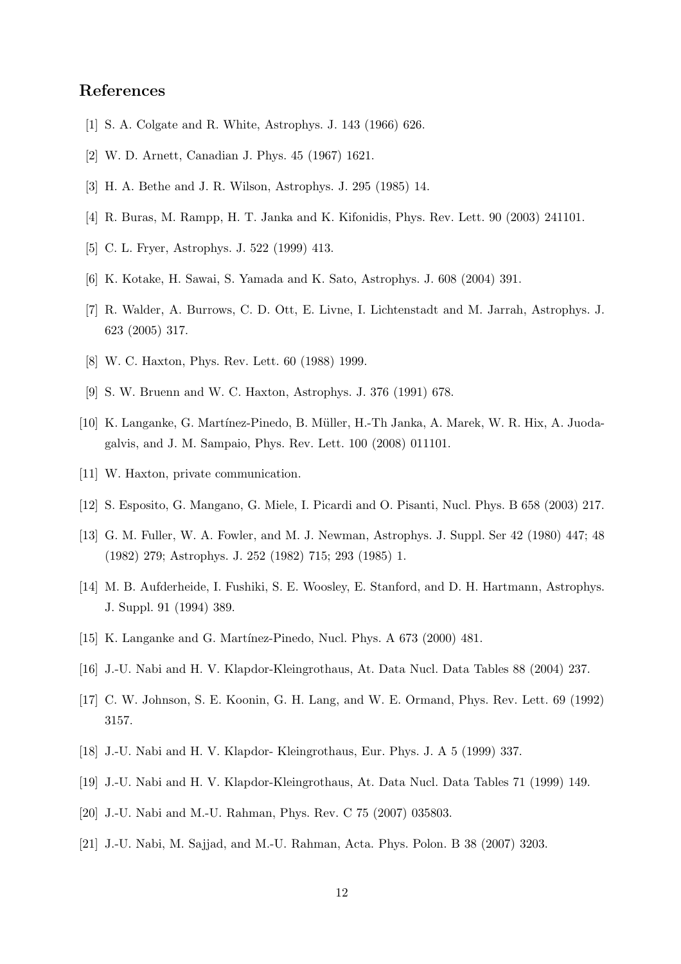# References

- [1] S. A. Colgate and R. White, Astrophys. J. 143 (1966) 626.
- [2] W. D. Arnett, Canadian J. Phys. 45 (1967) 1621.
- [3] H. A. Bethe and J. R. Wilson, Astrophys. J. 295 (1985) 14.
- [4] R. Buras, M. Rampp, H. T. Janka and K. Kifonidis, Phys. Rev. Lett. 90 (2003) 241101.
- [5] C. L. Fryer, Astrophys. J. 522 (1999) 413.
- [6] K. Kotake, H. Sawai, S. Yamada and K. Sato, Astrophys. J. 608 (2004) 391.
- [7] R. Walder, A. Burrows, C. D. Ott, E. Livne, I. Lichtenstadt and M. Jarrah, Astrophys. J. 623 (2005) 317.
- [8] W. C. Haxton, Phys. Rev. Lett. 60 (1988) 1999.
- [9] S. W. Bruenn and W. C. Haxton, Astrophys. J. 376 (1991) 678.
- [10] K. Langanke, G. Martínez-Pinedo, B. Müller, H.-Th Janka, A. Marek, W. R. Hix, A. Juodagalvis, and J. M. Sampaio, Phys. Rev. Lett. 100 (2008) 011101.
- [11] W. Haxton, private communication.
- [12] S. Esposito, G. Mangano, G. Miele, I. Picardi and O. Pisanti, Nucl. Phys. B 658 (2003) 217.
- [13] G. M. Fuller, W. A. Fowler, and M. J. Newman, Astrophys. J. Suppl. Ser 42 (1980) 447; 48 (1982) 279; Astrophys. J. 252 (1982) 715; 293 (1985) 1.
- [14] M. B. Aufderheide, I. Fushiki, S. E. Woosley, E. Stanford, and D. H. Hartmann, Astrophys. J. Suppl. 91 (1994) 389.
- [15] K. Langanke and G. Martínez-Pinedo, Nucl. Phys. A 673 (2000) 481.
- [16] J.-U. Nabi and H. V. Klapdor-Kleingrothaus, At. Data Nucl. Data Tables 88 (2004) 237.
- [17] C. W. Johnson, S. E. Koonin, G. H. Lang, and W. E. Ormand, Phys. Rev. Lett. 69 (1992) 3157.
- [18] J.-U. Nabi and H. V. Klapdor- Kleingrothaus, Eur. Phys. J. A 5 (1999) 337.
- [19] J.-U. Nabi and H. V. Klapdor-Kleingrothaus, At. Data Nucl. Data Tables 71 (1999) 149.
- [20] J.-U. Nabi and M.-U. Rahman, Phys. Rev. C 75 (2007) 035803.
- [21] J.-U. Nabi, M. Sajjad, and M.-U. Rahman, Acta. Phys. Polon. B 38 (2007) 3203.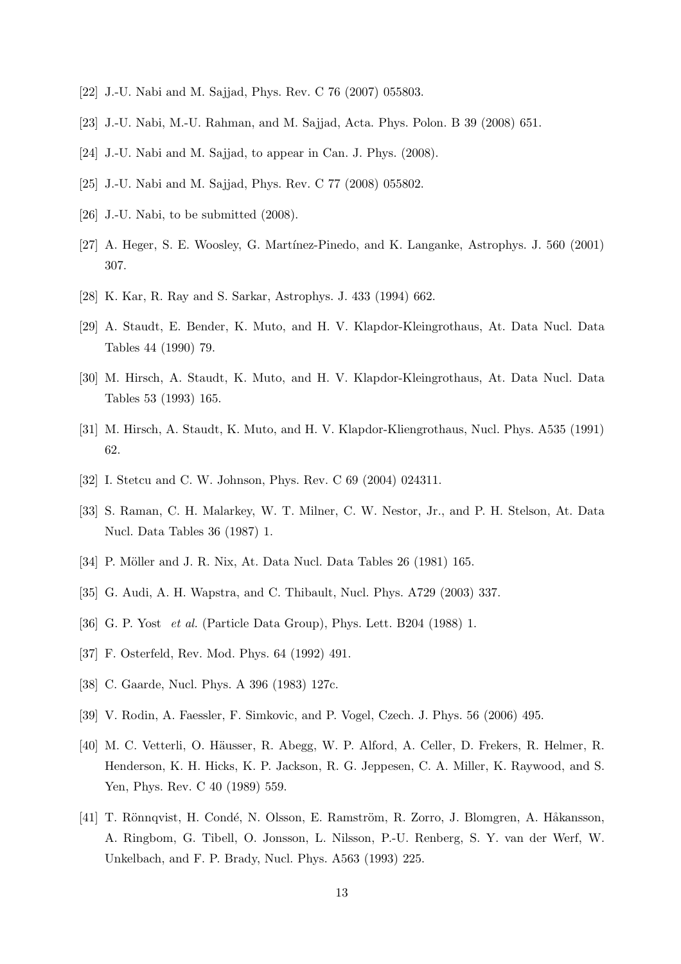- [22] J.-U. Nabi and M. Sajjad, Phys. Rev. C 76 (2007) 055803.
- [23] J.-U. Nabi, M.-U. Rahman, and M. Sajjad, Acta. Phys. Polon. B 39 (2008) 651.
- [24] J.-U. Nabi and M. Sajjad, to appear in Can. J. Phys. (2008).
- [25] J.-U. Nabi and M. Sajjad, Phys. Rev. C 77 (2008) 055802.
- [26] J.-U. Nabi, to be submitted (2008).
- [27] A. Heger, S. E. Woosley, G. Martínez-Pinedo, and K. Langanke, Astrophys. J. 560 (2001) 307.
- [28] K. Kar, R. Ray and S. Sarkar, Astrophys. J. 433 (1994) 662.
- [29] A. Staudt, E. Bender, K. Muto, and H. V. Klapdor-Kleingrothaus, At. Data Nucl. Data Tables 44 (1990) 79.
- [30] M. Hirsch, A. Staudt, K. Muto, and H. V. Klapdor-Kleingrothaus, At. Data Nucl. Data Tables 53 (1993) 165.
- [31] M. Hirsch, A. Staudt, K. Muto, and H. V. Klapdor-Kliengrothaus, Nucl. Phys. A535 (1991) 62.
- [32] I. Stetcu and C. W. Johnson, Phys. Rev. C 69 (2004) 024311.
- [33] S. Raman, C. H. Malarkey, W. T. Milner, C. W. Nestor, Jr., and P. H. Stelson, At. Data Nucl. Data Tables 36 (1987) 1.
- [34] P. Möller and J. R. Nix, At. Data Nucl. Data Tables 26 (1981) 165.
- [35] G. Audi, A. H. Wapstra, and C. Thibault, Nucl. Phys. A729 (2003) 337.
- [36] G. P. Yost *et al.* (Particle Data Group), Phys. Lett. B204 (1988) 1.
- [37] F. Osterfeld, Rev. Mod. Phys. 64 (1992) 491.
- [38] C. Gaarde, Nucl. Phys. A 396 (1983) 127c.
- [39] V. Rodin, A. Faessler, F. Simkovic, and P. Vogel, Czech. J. Phys. 56 (2006) 495.
- [40] M. C. Vetterli, O. Häusser, R. Abegg, W. P. Alford, A. Celler, D. Frekers, R. Helmer, R. Henderson, K. H. Hicks, K. P. Jackson, R. G. Jeppesen, C. A. Miller, K. Raywood, and S. Yen, Phys. Rev. C 40 (1989) 559.
- [41] T. Rönnqvist, H. Condé, N. Olsson, E. Ramström, R. Zorro, J. Blomgren, A. Håkansson, A. Ringbom, G. Tibell, O. Jonsson, L. Nilsson, P.-U. Renberg, S. Y. van der Werf, W. Unkelbach, and F. P. Brady, Nucl. Phys. A563 (1993) 225.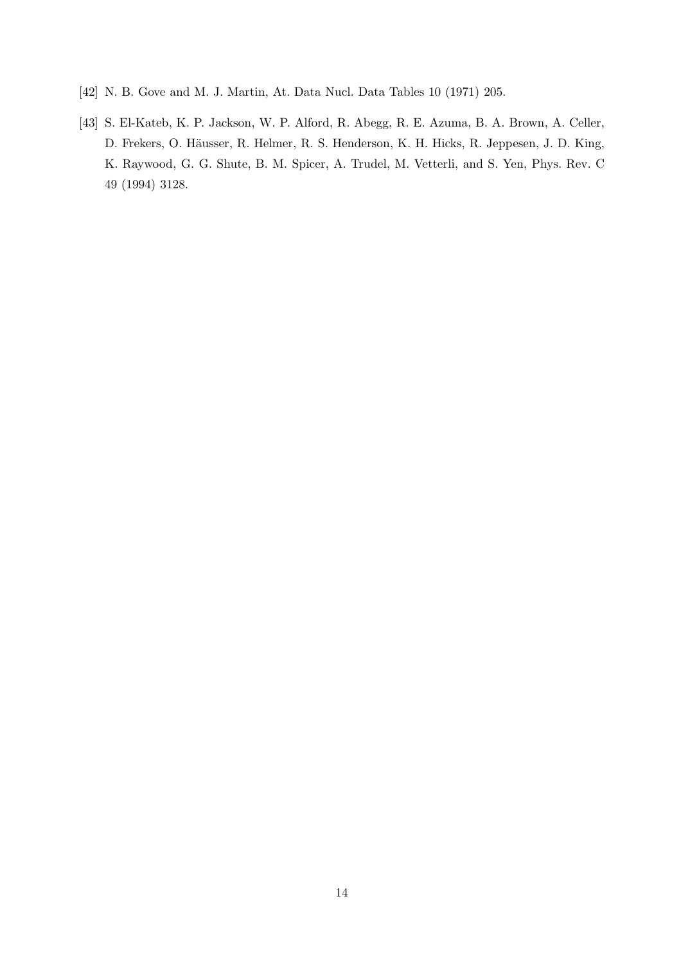- [42] N. B. Gove and M. J. Martin, At. Data Nucl. Data Tables 10 (1971) 205.
- [43] S. El-Kateb, K. P. Jackson, W. P. Alford, R. Abegg, R. E. Azuma, B. A. Brown, A. Celler, D. Frekers, O. Häusser, R. Helmer, R. S. Henderson, K. H. Hicks, R. Jeppesen, J. D. King, K. Raywood, G. G. Shute, B. M. Spicer, A. Trudel, M. Vetterli, and S. Yen, Phys. Rev. C 49 (1994) 3128.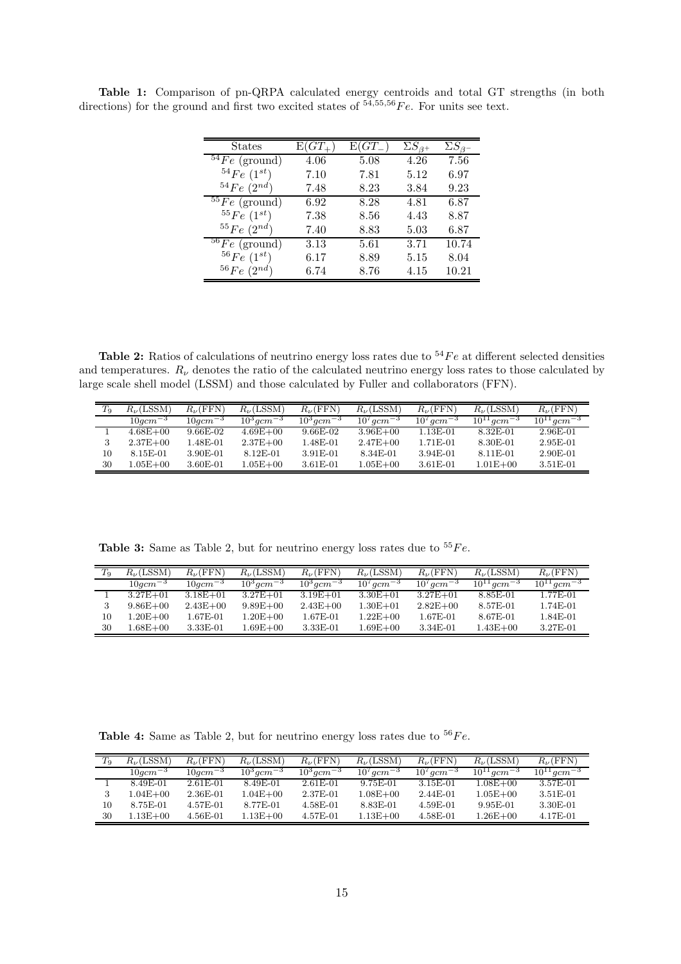| States                     | $E(GT_{+})$ | $E(GT_{-}$ | $\Sigma S_{\beta+}$ | $\Sigma S_{\beta}$ |
|----------------------------|-------------|------------|---------------------|--------------------|
| $54Fe$ (ground)            | 4.06        | 5.08       | 4.26                | 7.56               |
| $^{54}Fe~(1^{st})$         | 7.10        | 7.81       | 5.12                | 6.97               |
| $^{54}Fe~(2^{nd})$         | 7.48        | 8.23       | 3.84                | 9.23               |
| $\sqrt[55]{Fe}$ (ground)   | 6.92        | 8.28       | 4.81                | 6.87               |
| ${}^{55}Fe~(1^{st})$       | 7.38        | 8.56       | 4.43                | 8.87               |
| $^{55}Fe~(2^{nd})$         | 7.40        | 8.83       | 5.03                | 6.87               |
| $56\overline{F}e$ (ground) | 3.13        | 5.61       | 3.71                | 10.74              |
| $^{56}Fe~(1^{st})$         | 6.17        | 8.89       | 5.15                | 8.04               |
| $^{56}Fe$<br>$(2^{nd})$    | 6.74        | 8.76       | 4.15                | 10.21              |

Table 1: Comparison of pn-QRPA calculated energy centroids and total GT strengths (in both directions) for the ground and first two excited states of  $54,55,56$   $Fe$ . For units see text.

Table 2: Ratios of calculations of neutrino energy loss rates due to  $54Fe$  at different selected densities and temperatures.  $R_{\nu}$  denotes the ratio of the calculated neutrino energy loss rates to those calculated by large scale shell model (LSSM) and those calculated by Fuller and collaborators (FFN).

| $T_9$ | $R_{\nu}$ (LSSM)      | $R_{\nu}$ (FFN) | $R_{\nu}$ (LSSM)           | $R_{\nu}$ (FFN)          | $R_{\nu}$ (LSSM)           | $R_{\nu}$ (FFN)            | $R_{\nu}$ (LSSM)            | $R_{\nu}$ (FFN)             |
|-------|-----------------------|-----------------|----------------------------|--------------------------|----------------------------|----------------------------|-----------------------------|-----------------------------|
|       | $10acm^{-3}$          | $10acm^{-3}$    | $10^{3}$ gcm <sup>-3</sup> | $10^3$ gcm <sup>-3</sup> | $10^{7}$ gcm <sup>-3</sup> | $10^{7}$ acm <sup>-3</sup> | $10^{11}$ gcm <sup>-3</sup> | $10^{11}$ gcm <sup>-3</sup> |
|       | $4.68E + 00$          | $9.66E-02$      | $4.69E + 00$               | $9.66E-02$               | $3.96E + 00$               | 1.13E-01                   | 8.32E-01                    | 2.96E-01                    |
|       | $2.37E + 00$          | 1.48E-01        | $2.37E + 00$               | 1.48E-01                 | $2.47E + 00$               | 1.71E-01                   | 8.30E-01                    | $2.95E-01$                  |
| 10    | 8.15E-01              | 3.90E-01        | 8.12E-01                   | 3.91E-01                 | 8.34E-01                   | 3.94E-01                   | 8.11E-01                    | 2.90E-01                    |
| 30    | $1.05\mathrm{E}{+00}$ | 3.60E-01        | $.05E + 00$                | $3.61E-01$               | $1.05E + 00$               | $3.61E-01$                 | $1.01E + 00$                | $3.51E-01$                  |

Table 3: Same as Table 2, but for neutrino energy loss rates due to  $55Fe$ .

|    | $R_{\nu}$ (LSSM) | $R_{\nu}$ (FFN) | $R_{\nu}$ (LSSM)         | $R_{\nu}$ (FFN)          | $R_{\nu}$ (LSSM)           | $R_{\nu}$ (FFN)            | $R_{\nu}$ (LSSM)            | $R_{\nu}$ (FFN)             |
|----|------------------|-----------------|--------------------------|--------------------------|----------------------------|----------------------------|-----------------------------|-----------------------------|
|    | $10$ a $cm^{-3}$ | $10acm^{-3}$    | $10^3$ acm <sup>-3</sup> | $10^3$ acm <sup>-3</sup> | $10^{7}$ acm <sup>-3</sup> | $10^{7}$ acm <sup>-3</sup> | $10^{11}$ acm <sup>-3</sup> | $10^{11}$ acm <sup>-3</sup> |
|    | $3.27E + 01$     | $3.18E + 01$    | $3.27E + 01$             | $3.19E + 01$             | $3.30E + 01$               | $3.27E + 01$               | 8.85E-01                    | 1.77E-01                    |
|    | $9.86E + 00$     | $2.43E + 00$    | $9.89E + 00$             | $2.43E + 00$             | $1.30E + 01$               | $2.82E + 00$               | 8.57E-01                    | 1.74E-01                    |
| 10 | $1.20E + 00$     | 1.67E-01        | $1.20E + 00$             | 1.67E-01                 | $1.22E + 00$               | 1.67E-01                   | 8.67E-01                    | 1.84E-01                    |
| 30 | $1.68E + 00$     | 3.33E-01        | $1.69E + 00$             | 3.33E-01                 | $1.69E + 00$               | 3.34E-01                   | $1.43E + 00$                | 3.27E-01                    |

**Table 4:** Same as Table 2, but for neutrino energy loss rates due to  ${}^{56}Fe$ .

| $T_9$ | $R_{\nu}$ (LSSM) | $R_{\nu}$ (FFN) | $R_{\nu}$ (LSSM)         | $R_{\nu}$ (FFN)          | $R_{\nu}$ (LSSM)           | $R_{\nu}$ (FFN)    | $R_{\nu}$ (LSSM)            | $R_{\nu}$ (FFN)             |
|-------|------------------|-----------------|--------------------------|--------------------------|----------------------------|--------------------|-----------------------------|-----------------------------|
|       | $10$ acm $^{-3}$ | $10acm^{-3}$    | $10^3$ acm <sup>-3</sup> | $10^3$ acm <sup>-3</sup> | $10^{7}$ acm <sup>-3</sup> | $10^7$ acm $^{-3}$ | $10^{11}$ acm <sup>-3</sup> | $10^{11}$ acm <sup>-3</sup> |
|       | 8.49E-01         | 2.61E-01        | 8.49E-01                 | $2.61E-01$               | 9.75E-01                   | 3.15E-01           | $1.08E + 00$                | 3.57E-01                    |
|       | $0.04E + 00$     | 2.36E-01        | $1.04E + 00$             | 2.37E-01                 | $1.08E + 00$               | 2.44E-01           | $1.05E + 00$                | $3.51E-01$                  |
| 10    | 8.75E-01         | 4.57E-01        | 8.77E-01                 | 4.58E-01                 | 8.83E-01                   | 4.59E-01           | 9.95E-01                    | 3.30E-01                    |
| 30    | $.13E + 00$      | $4.56E-01$      | $1.13E + 00$             | 4.57E-01                 | $1.13E + 00$               | 4.58E-01           | $1.26E + 00$                | 4.17E-01                    |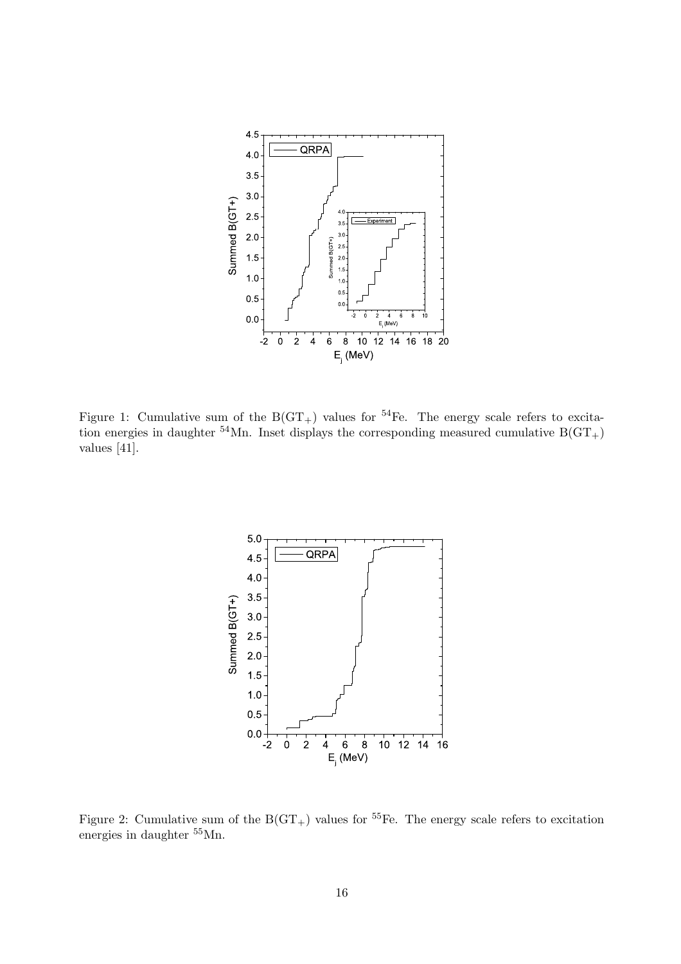

Figure 1: Cumulative sum of the  $B(GT_+)$  values for <sup>54</sup>Fe. The energy scale refers to excitation energies in daughter <sup>54</sup>Mn. Inset displays the corresponding measured cumulative  $B(GT<sub>+</sub>)$ values [41].



Figure 2: Cumulative sum of the  $B(GT_+)$  values for <sup>55</sup>Fe. The energy scale refers to excitation energies in daughter <sup>55</sup>Mn.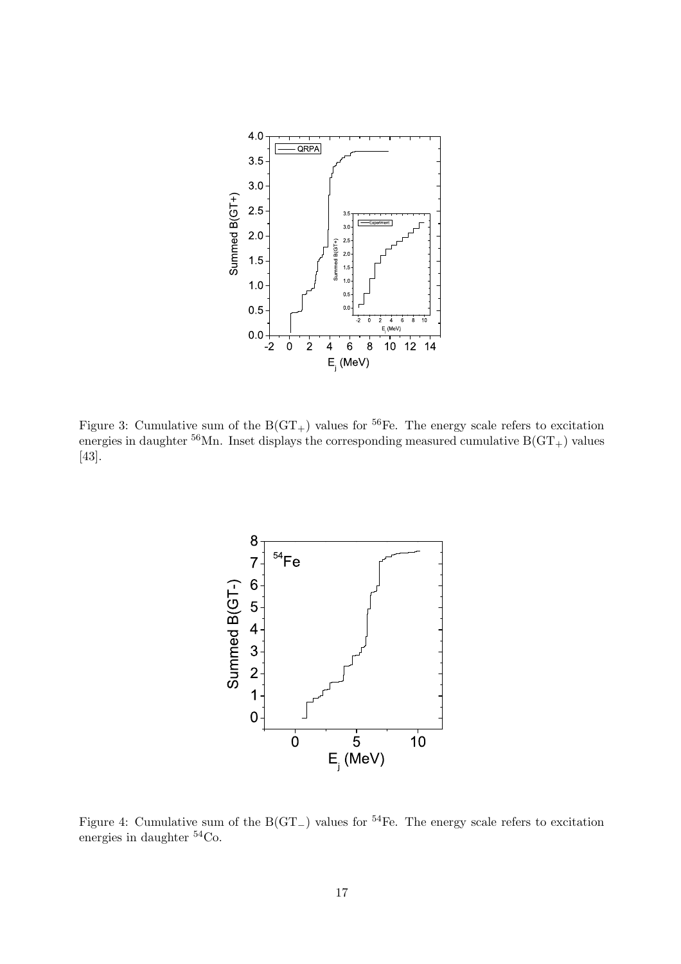

Figure 3: Cumulative sum of the  $B(GT_+)$  values for <sup>56</sup>Fe. The energy scale refers to excitation energies in daughter  $^{56}$ Mn. Inset displays the corresponding measured cumulative B(GT<sub>+</sub>) values [43].



Figure 4: Cumulative sum of the  $B(GT_{-})$  values for <sup>54</sup>Fe. The energy scale refers to excitation energies in daughter <sup>54</sup>Co.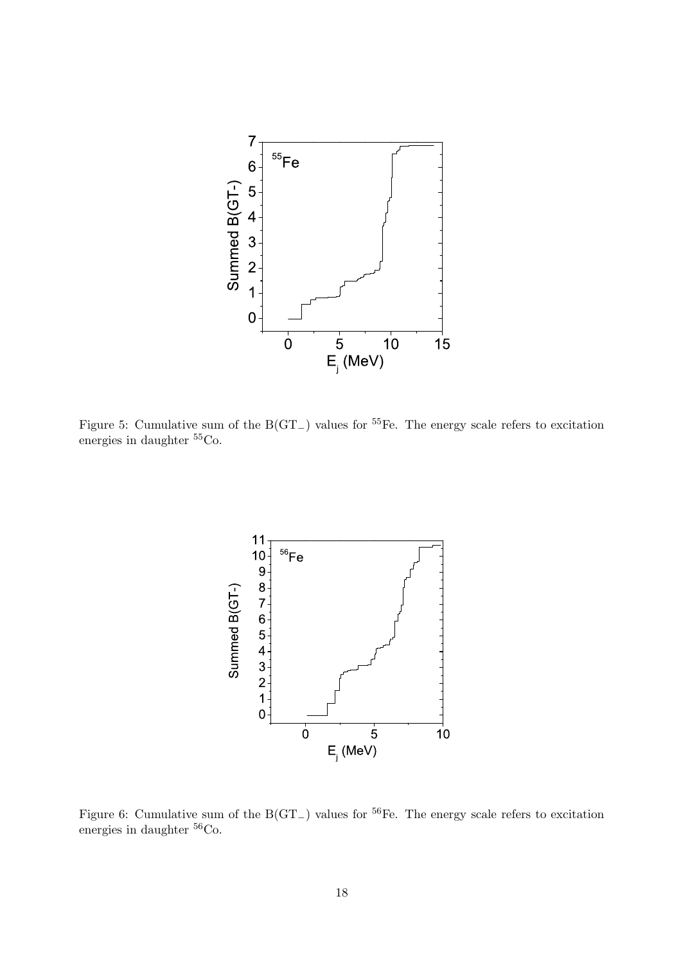

Figure 5: Cumulative sum of the  $B(GT_{-})$  values for <sup>55</sup>Fe. The energy scale refers to excitation energies in daughter  ${}^{55}Co.$ 



Figure 6: Cumulative sum of the  $B(GT_{-})$  values for <sup>56</sup>Fe. The energy scale refers to excitation energies in daughter <sup>56</sup>Co.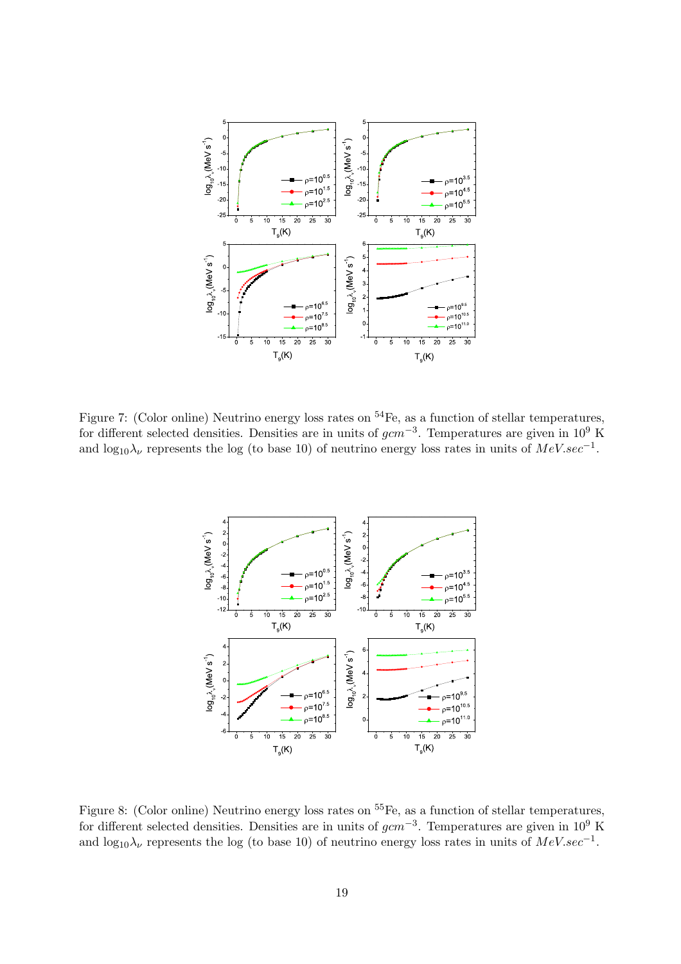

Figure 7: (Color online) Neutrino energy loss rates on  $^{54}$ Fe, as a function of stellar temperatures, for different selected densities. Densities are in units of  $gcm^{-3}$ . Temperatures are given in 10<sup>9</sup> K and  $\log_{10} \lambda_{\nu}$  represents the log (to base 10) of neutrino energy loss rates in units of  $MeV, sec^{-1}$ .



Figure 8: (Color online) Neutrino energy loss rates on <sup>55</sup>Fe, as a function of stellar temperatures, for different selected densities. Densities are in units of  $gcm^{-3}$ . Temperatures are given in 10<sup>9</sup> K and  $\log_{10} \lambda_{\nu}$  represents the log (to base 10) of neutrino energy loss rates in units of  $MeV. sec^{-1}$ .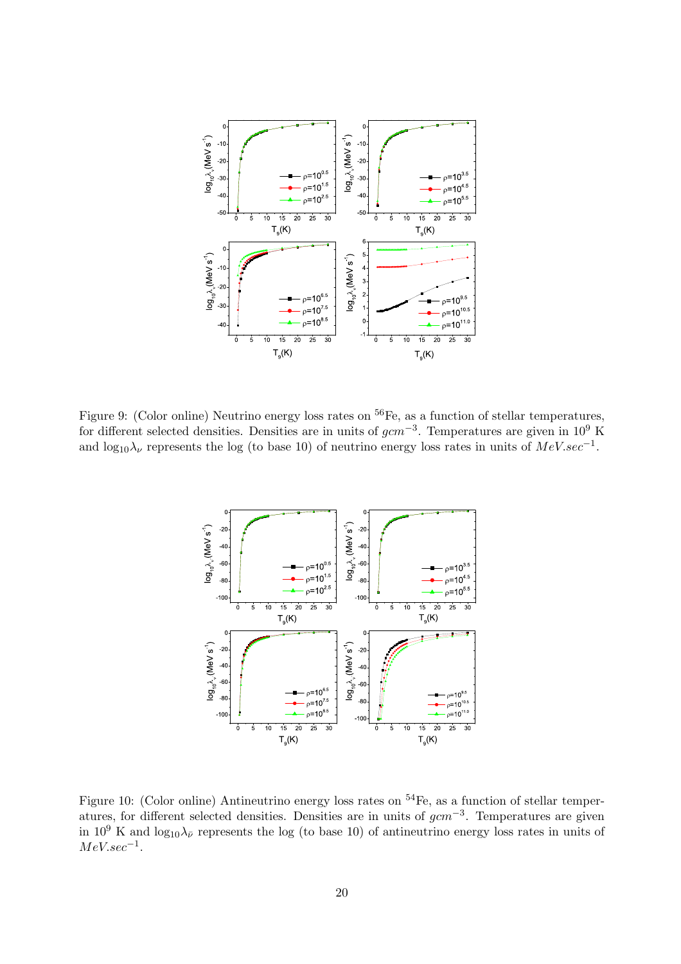

Figure 9: (Color online) Neutrino energy loss rates on <sup>56</sup>Fe, as a function of stellar temperatures, for different selected densities. Densities are in units of  $gcm^{-3}$ . Temperatures are given in 10<sup>9</sup> K and  $\log_{10} \lambda_{\nu}$  represents the log (to base 10) of neutrino energy loss rates in units of  $MeV, sec^{-1}$ .



Figure 10: (Color online) Antineutrino energy loss rates on <sup>54</sup>Fe, as a function of stellar temperatures, for different selected densities. Densities are in units of  $gcm^{-3}$ . Temperatures are given in 10<sup>9</sup> K and  $log_{10} \lambda_{\bar{\nu}}$  represents the log (to base 10) of antineutrino energy loss rates in units of  $MeV \nsec^{-1}$ .